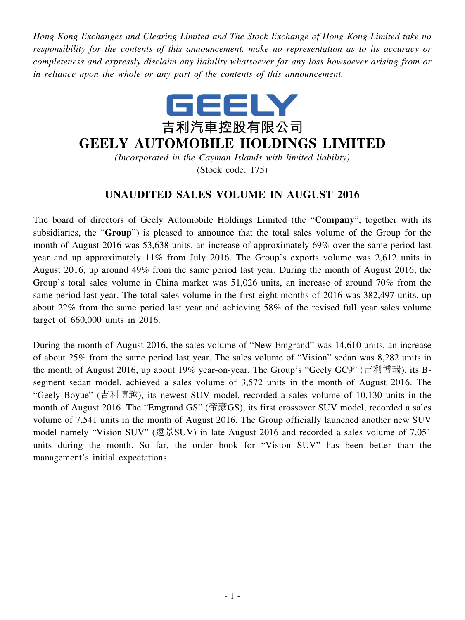*Hong Kong Exchanges and Clearing Limited and The Stock Exchange of Hong Kong Limited take no responsibility for the contents of this announcement, make no representation as to its accuracy or completeness and expressly disclaim any liability whatsoever for any loss howsoever arising from or in reliance upon the whole or any part of the contents of this announcement.*



## **GEELY AUTOMOBILE HOLDINGS LIMITED**

*(Incorporated in the Cayman Islands with limited liability)* (Stock code: 175)

## **UNAUDITED SALES VOLUME IN AUGUST 2016**

The board of directors of Geely Automobile Holdings Limited (the "**Company**", together with its subsidiaries, the "**Group**") is pleased to announce that the total sales volume of the Group for the month of August 2016 was 53,638 units, an increase of approximately 69% over the same period last year and up approximately 11% from July 2016. The Group's exports volume was 2,612 units in August 2016, up around 49% from the same period last year. During the month of August 2016, the Group's total sales volume in China market was 51,026 units, an increase of around 70% from the same period last year. The total sales volume in the first eight months of 2016 was 382,497 units, up about 22% from the same period last year and achieving 58% of the revised full year sales volume target of 660,000 units in 2016.

During the month of August 2016, the sales volume of "New Emgrand" was 14,610 units, an increase of about 25% from the same period last year. The sales volume of "Vision" sedan was 8,282 units in the month of August 2016, up about 19% year-on-year. The Group's "Geely GC9" (吉利博瑞), its Bsegment sedan model, achieved a sales volume of 3,572 units in the month of August 2016. The "Geely Boyue" (吉利博越), its newest SUV model, recorded a sales volume of 10,130 units in the month of August 2016. The "Emgrand GS" (帝豪GS), its first crossover SUV model, recorded a sales volume of 7,541 units in the month of August 2016. The Group officially launched another new SUV model namely "Vision SUV" (遠景SUV) in late August 2016 and recorded a sales volume of 7,051 units during the month. So far, the order book for "Vision SUV" has been better than the management's initial expectations.